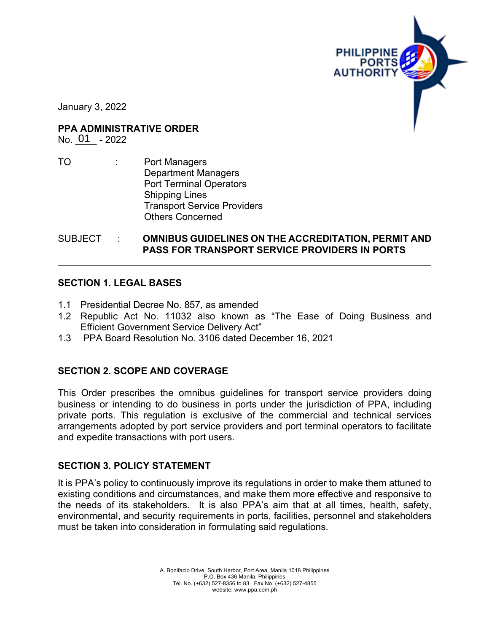

January 3, 2022

**PPA ADMINISTRATIVE ORDER**

No. 01 - 2022

TO : Port Managers Department Managers Port Terminal Operators Shipping Lines Transport Service Providers Others Concerned

SUBJECT : **OMNIBUS GUIDELINES ON THE ACCREDITATION, PERMIT AND PASS FOR TRANSPORT SERVICE PROVIDERS IN PORTS**

\_\_\_\_\_\_\_\_\_\_\_\_\_\_\_\_\_\_\_\_\_\_\_\_\_\_\_\_\_\_\_\_\_\_\_\_\_\_\_\_\_\_\_\_\_\_\_\_\_\_\_\_\_\_\_\_\_\_\_\_\_\_\_\_\_\_\_\_\_\_

### **SECTION 1. LEGAL BASES**

- 1.1 Presidential Decree No. 857, as amended
- 1.2 Republic Act No. 11032 also known as "The Ease of Doing Business and Efficient Government Service Delivery Act"
- 1.3 PPA Board Resolution No. 3106 dated December 16, 2021

### **SECTION 2. SCOPE AND COVERAGE**

This Order prescribes the omnibus guidelines for transport service providers doing business or intending to do business in ports under the jurisdiction of PPA, including private ports. This regulation is exclusive of the commercial and technical services arrangements adopted by port service providers and port terminal operators to facilitate and expedite transactions with port users.

### **SECTION 3. POLICY STATEMENT**

It is PPA's policy to continuously improve its regulations in order to make them attuned to existing conditions and circumstances, and make them more effective and responsive to the needs of its stakeholders. It is also PPA's aim that at all times, health, safety, environmental, and security requirements in ports, facilities, personnel and stakeholders must be taken into consideration in formulating said regulations.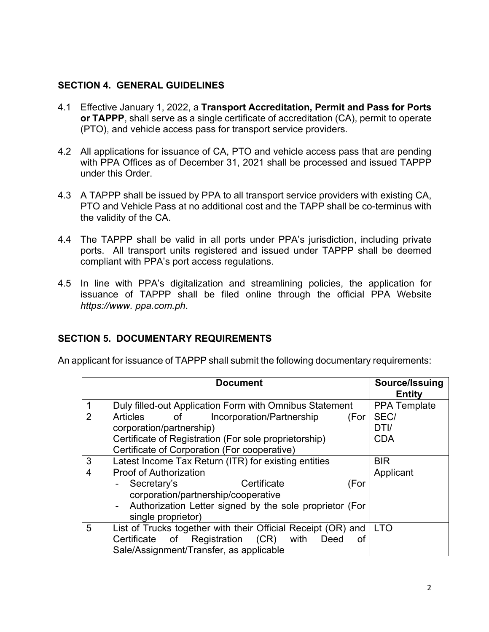### **SECTION 4. GENERAL GUIDELINES**

- 4.1 Effective January 1, 2022, a **Transport Accreditation, Permit and Pass for Ports or TAPPP**, shall serve as a single certificate of accreditation (CA), permit to operate (PTO), and vehicle access pass for transport service providers.
- 4.2 All applications for issuance of CA, PTO and vehicle access pass that are pending with PPA Offices as of December 31, 2021 shall be processed and issued TAPPP under this Order.
- 4.3 A TAPPP shall be issued by PPA to all transport service providers with existing CA, PTO and Vehicle Pass at no additional cost and the TAPP shall be co-terminus with the validity of the CA.
- 4.4 The TAPPP shall be valid in all ports under PPA's jurisdiction, including private ports. All transport units registered and issued under TAPPP shall be deemed compliant with PPA's port access regulations.
- 4.5 In line with PPA's digitalization and streamlining policies, the application for issuance of TAPPP shall be filed online through the official PPA Website *https://www. ppa.com.ph*.

# **SECTION 5. DOCUMENTARY REQUIREMENTS**

An applicant for issuance of TAPPP shall submit the following documentary requirements:

|                | <b>Document</b>                                                                  | Source/Issuing<br><b>Entity</b> |
|----------------|----------------------------------------------------------------------------------|---------------------------------|
|                | Duly filled-out Application Form with Omnibus Statement                          | <b>PPA Template</b>             |
| 2              | Incorporation/Partnership<br>Articles<br>$\mathsf{of}$ and $\mathsf{of}$<br>(For | SEC/                            |
|                | corporation/partnership)                                                         | DTI/                            |
|                | Certificate of Registration (For sole proprietorship)                            | <b>CDA</b>                      |
|                | Certificate of Corporation (For cooperative)                                     |                                 |
| 3              | Latest Income Tax Return (ITR) for existing entities                             | <b>BIR</b>                      |
| $\overline{4}$ | Proof of Authorization                                                           | Applicant                       |
|                | Certificate<br>(For<br>Secretary's                                               |                                 |
|                | corporation/partnership/cooperative                                              |                                 |
|                | Authorization Letter signed by the sole proprietor (For                          |                                 |
|                | single proprietor)                                                               |                                 |
| 5              | List of Trucks together with their Official Receipt (OR) and                     | <b>LTO</b>                      |
|                | with<br>Certificate of Registration (CR)<br>Deed<br>οt                           |                                 |
|                | Sale/Assignment/Transfer, as applicable                                          |                                 |